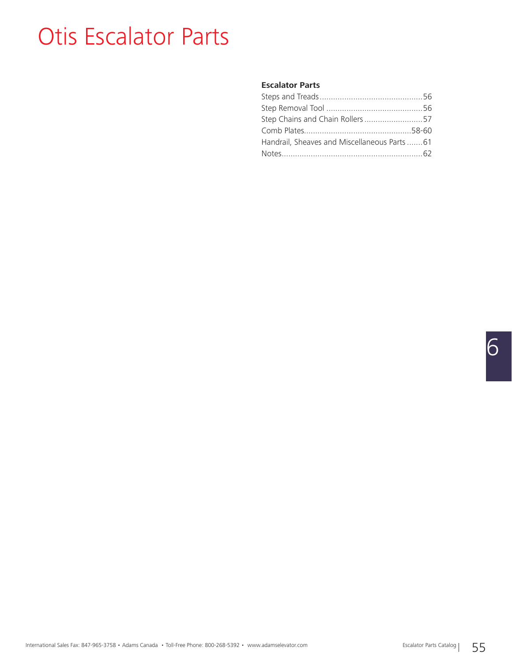### Otis Escalator Parts

#### **Escalator Parts**

| Step Chains and Chain Rollers57             |  |
|---------------------------------------------|--|
|                                             |  |
| Handrail, Sheaves and Miscellaneous Parts61 |  |
|                                             |  |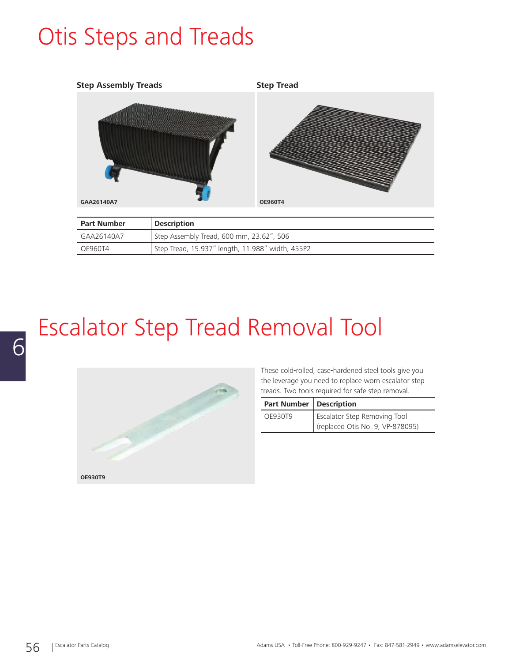## Otis Steps and Treads



| <b>Part Number</b> | <b>Description</b>                               |
|--------------------|--------------------------------------------------|
| GAA26140A7         | Step Assembly Tread, 600 mm, 23.62", 506         |
| OE960T4            | Step Tread, 15.937" length, 11.988" width, 455P2 |

# Escalator Step Tread Removal Tool



These cold-rolled, case-hardened steel tools give you the leverage you need to replace worn escalator step treads. Two tools required for safe step removal.

| <b>Part Number   Description</b> |                                  |
|----------------------------------|----------------------------------|
| OF930T9                          | Escalator Step Removing Tool     |
|                                  | (replaced Otis No. 9, VP-878095) |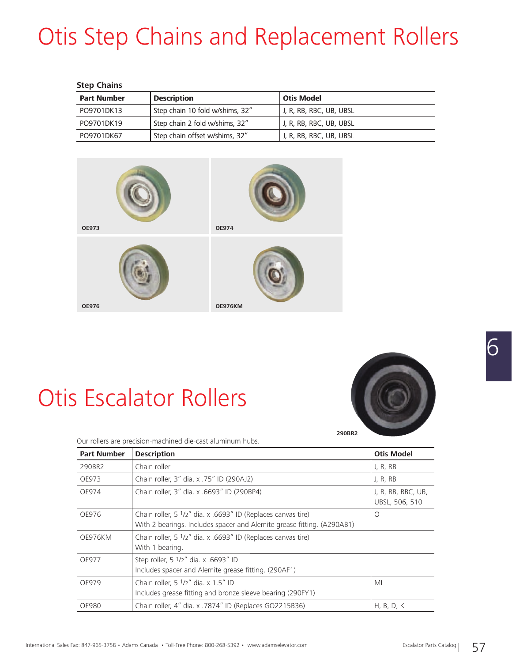# **Otis Step Chains and Replacement Rollers**

| <b>Step Chains</b> |                                 |                         |  |
|--------------------|---------------------------------|-------------------------|--|
| <b>Part Number</b> | <b>Description</b>              | <b>Otis Model</b>       |  |
| PO9701DK13         | Step chain 10 fold w/shims, 32" | J. R. RB, RBC, UB, UBSL |  |
| PO9701DK19         | Step chain 2 fold w/shims, 32"  | J. R. RB. RBC. UB. UBSL |  |
| PO9701DK67         | Step chain offset w/shims, 32"  | J, R, RB, RBC, UB, UBSL |  |



## Otis Escalator Rollers



Our rollers are precision-machined die-cast aluminum hubs.

| <b>Part Number</b> | <b>Description</b>                                                                                                                     | <b>Otis Model</b>                    |
|--------------------|----------------------------------------------------------------------------------------------------------------------------------------|--------------------------------------|
| 290BR2             | Chain roller                                                                                                                           | J, R, RB                             |
| OE973              | Chain roller, 3" dia. x .75" ID (290AJ2)                                                                                               | J, R, RB                             |
| OE974              | Chain roller, 3" dia. x .6693" ID (290BP4)                                                                                             | J, R, RB, RBC, UB,<br>UBSL, 506, 510 |
| OE976              | Chain roller, 5 1/2" dia. x .6693" ID (Replaces canvas tire)<br>With 2 bearings. Includes spacer and Alemite grease fitting. (A290AB1) | O                                    |
| OE976KM            | Chain roller, 5 1/2" dia. x .6693" ID (Replaces canvas tire)<br>With 1 bearing.                                                        |                                      |
| OE977              | Step roller, 5 1/2" dia. x .6693" ID<br>Includes spacer and Alemite grease fitting. (290AF1)                                           |                                      |
| OE979              | Chain roller, $5 \frac{1}{2}$ dia. x 1.5" ID<br>Includes grease fitting and bronze sleeve bearing (290FY1)                             | ML                                   |
| <b>OE980</b>       | Chain roller, 4" dia. x .7874" ID (Replaces GO2215B36)                                                                                 | H, B, D, K                           |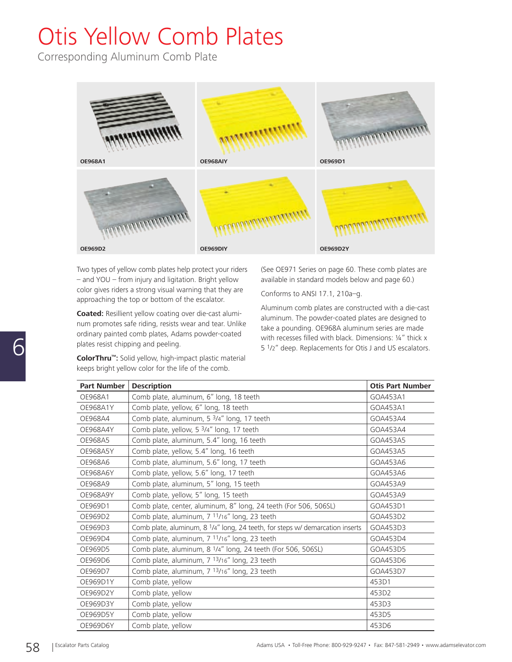# Otis Yellow Comb Plates

Corresponding Aluminum Comb Plate



Two types of yellow comb plates help protect your riders – and YOU – from injury and ligitation. Bright yellow color gives riders a strong visual warning that they are approaching the top or bottom of the escalator.

**Coated:** Resillient yellow coating over die-cast aluminum promotes safe riding, resists wear and tear. Unlike ordinary painted comb plates, Adams powder-coated plates resist chipping and peeling.

**ColorThru™:** Solid yellow, high-impact plastic material keeps bright yellow color for the life of the comb.

(See OE971 Series on page 60. These comb plates are available in standard models below and page 60.)

Conforms to ANSI 17.1, 210a–g.

Aluminum comb plates are constructed with a die-cast aluminum. The powder-coated plates are designed to take a pounding. OE968A aluminum series are made with recesses filled with black. Dimensions:  $\frac{1}{4}$ " thick x 5 1/2" deep. Replacements for Otis J and US escalators.

| <b>Part Number</b> | <b>Description</b>                                                                        | <b>Otis Part Number</b> |
|--------------------|-------------------------------------------------------------------------------------------|-------------------------|
| OE968A1            | Comb plate, aluminum, 6" long, 18 teeth                                                   | GOA453A1                |
| <b>OE968A1Y</b>    | Comb plate, yellow, 6" long, 18 teeth                                                     | GOA453A1                |
| OE968A4            | Comb plate, aluminum, 5 3/4" long, 17 teeth                                               | GOA453A4                |
| <b>OE968A4Y</b>    | Comb plate, yellow, 5 <sup>3</sup> /4" long, 17 teeth                                     | GOA453A4                |
| OE968A5            | Comb plate, aluminum, 5.4" long, 16 teeth                                                 | GOA453A5                |
| <b>OE968A5Y</b>    | Comb plate, yellow, 5.4" long, 16 teeth                                                   | GOA453A5                |
| OE968A6            | Comb plate, aluminum, 5.6" long, 17 teeth                                                 | GOA453A6                |
| <b>OE968A6Y</b>    | Comb plate, yellow, 5.6" long, 17 teeth                                                   | GOA453A6                |
| OE968A9            | Comb plate, aluminum, 5" long, 15 teeth                                                   | GOA453A9                |
| <b>OE968A9Y</b>    | Comb plate, yellow, 5" long, 15 teeth                                                     | GOA453A9                |
| OE969D1            | Comb plate, center, aluminum, 8" long, 24 teeth (For 506, 506SL)                          | GOA453D1                |
| OE969D2            | Comb plate, aluminum, 7 11/16" long, 23 teeth                                             | GOA453D2                |
| OE969D3            | Comb plate, aluminum, 8 <sup>1</sup> /4" long, 24 teeth, for steps w/ demarcation inserts | GOA453D3                |
| OE969D4            | Comb plate, aluminum, 7 11/16" long, 23 teeth                                             | GOA453D4                |
| OE969D5            | Comb plate, aluminum, 8 1/4" long, 24 teeth (For 506, 506SL)                              | GOA453D5                |
| OE969D6            | Comb plate, aluminum, 7 13/16" long, 23 teeth                                             | GOA453D6                |
| OE969D7            | Comb plate, aluminum, 7 13/16" long, 23 teeth                                             | GOA453D7                |
| OE969D1Y           | Comb plate, yellow                                                                        | 453D1                   |
| OE969D2Y           | Comb plate, yellow                                                                        | 453D2                   |
| OE969D3Y           | Comb plate, yellow                                                                        | 453D3                   |
| OE969D5Y           | Comb plate, yellow                                                                        | 453D5                   |
| OE969D6Y           | Comb plate, yellow                                                                        | 453D6                   |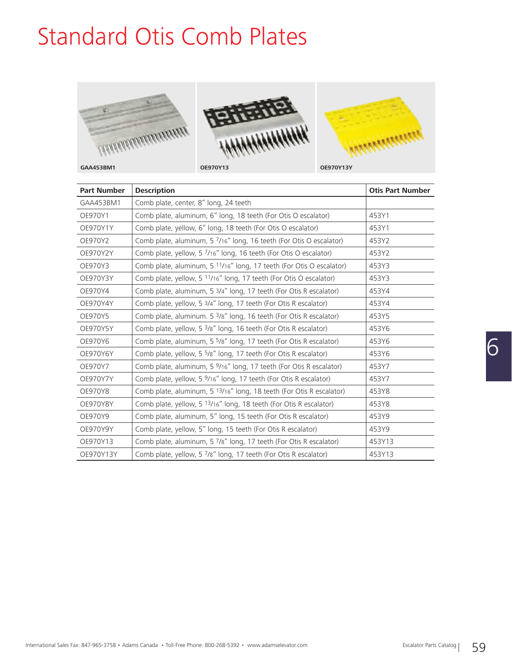### Standard Otis Comb Plates







| <b>Part Number</b> | <b>Description</b>                                                              | <b>Otis Part Number</b> |
|--------------------|---------------------------------------------------------------------------------|-------------------------|
| GAA453BM1          | Comb plate, center, 8" long, 24 teeth                                           |                         |
| OE970Y1            | Comb plate, aluminum, 6" long, 18 teeth (For Otis O escalator)                  | 453Y1                   |
| OE970Y1Y           | Comb plate, yellow, 6" long, 18 teeth (For Otis O escalator)                    | 453Y1                   |
| OE970Y2            | Comb plate, aluminum, 5 7/16" long, 16 teeth (For Otis O escalator)             | 453Y2                   |
| OE970Y2Y           | Comb plate, yellow, 5 7/16" long, 16 teeth (For Otis O escalator)               | 453Y2                   |
| OE970Y3            | Comb plate, aluminum, 5 11/16" long, 17 teeth (For Otis O escalator)            | 453Y3                   |
| OE970Y3Y           | Comb plate, yellow, 5 11/16" long, 17 teeth (For Otis O escalator)              | 453Y3                   |
| OE970Y4            | Comb plate, aluminum, 5 3/4" long, 17 teeth (For Otis R escalator)              | 453Y4                   |
| OE970Y4Y           | Comb plate, yellow, 5 3/4" long, 17 teeth (For Otis R escalator)                | 453Y4                   |
| OE970Y5            | Comb plate, aluminum. 5 <sup>3</sup> /8" long, 16 teeth (For Otis R escalator)  | 453Y5                   |
| OE970Y5Y           | Comb plate, yellow, 5 <sup>3</sup> /8" long, 16 teeth (For Otis R escalator)    | 453Y6                   |
| OE970Y6            | Comb plate, aluminum, 5 5/8" long, 17 teeth (For Otis R escalator)              | 453Y6                   |
| OE970Y6Y           | Comb plate, yellow, 5 <sup>5</sup> /8" long, 17 teeth (For Otis R escalator)    | 453Y6                   |
| OE970Y7            | Comb plate, aluminum, 5 <sup>9</sup> /16" long, 17 teeth (For Otis R escalator) | 453Y7                   |
| OE970Y7Y           | Comb plate, yellow, 5 <sup>9</sup> /16" long, 17 teeth (For Otis R escalator)   | 453Y7                   |
| OE970Y8            | Comb plate, aluminum, 5 13/16" long, 18 teeth (For Otis R escalator)            | 453Y8                   |
| OE970Y8Y           | Comb plate, yellow, 5 13/16" long, 18 teeth (For Otis R escalator)              | 453Y8                   |
| OE970Y9            | Comb plate, aluminum, 5" long, 15 teeth (For Otis R escalator)                  | 453Y9                   |
| OE970Y9Y           | Comb plate, yellow, 5" long, 15 teeth (For Otis R escalator)                    | 453Y9                   |
| OE970Y13           | Comb plate, aluminum, 5 7/8" long, 17 teeth (For Otis R escalator)              | 453Y13                  |
| OE970Y13Y          | Comb plate, yellow, 5 7/8" long, 17 teeth (For Otis R escalator)                | 453Y13                  |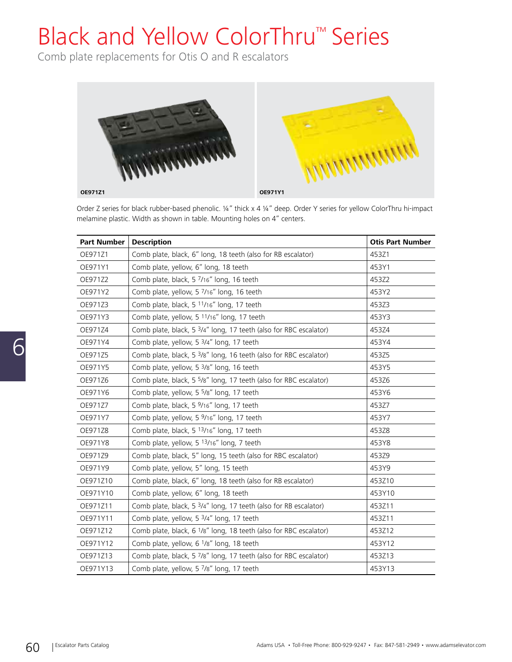# Black and Yellow ColorThru™ Series

Comb plate replacements for Otis O and R escalators



Order Z series for black rubber-based phenolic. ¼" thick x 4 ¼" deep. Order Y series for yellow ColorThru hi-impact melamine plastic. Width as shown in table. Mounting holes on 4" centers.

| <b>Part Number</b> | <b>Description</b>                                                            | <b>Otis Part Number</b> |
|--------------------|-------------------------------------------------------------------------------|-------------------------|
| OE971Z1            | Comb plate, black, 6" long, 18 teeth (also for RB escalator)                  | 453Z1                   |
| OE971Y1            | Comb plate, yellow, 6" long, 18 teeth                                         | 453Y1                   |
| OE971Z2            | Comb plate, black, 5 7/16" long, 16 teeth                                     | 453Z2                   |
| OE971Y2            | Comb plate, yellow, 5 7/16" long, 16 teeth                                    | 453Y2                   |
| OE971Z3            | Comb plate, black, 5 11/16" long, 17 teeth                                    | 453Z3                   |
| OE971Y3            | Comb plate, yellow, 5 11/16" long, 17 teeth                                   | 453Y3                   |
| OE971Z4            | Comb plate, black, 5 3/4" long, 17 teeth (also for RBC escalator)             | 453Z4                   |
| OE971Y4            | Comb plate, yellow, 5 3/4" long, 17 teeth                                     | 453Y4                   |
| OE971Z5            | Comb plate, black, 5 3/8" long, 16 teeth (also for RBC escalator)             | 453Z5                   |
| OE971Y5            | Comb plate, yellow, 5 <sup>3</sup> /8" long, 16 teeth                         | 453Y5                   |
| OE971Z6            | Comb plate, black, 5 <sup>5</sup> /8" long, 17 teeth (also for RBC escalator) | 453Z6                   |
| OE971Y6            | Comb plate, yellow, 5 <sup>5</sup> /8" long, 17 teeth                         | 453Y6                   |
| OE971Z7            | Comb plate, black, 5 9/16" long, 17 teeth                                     | 453Z7                   |
| OE971Y7            | Comb plate, yellow, 5 9/16" long, 17 teeth                                    | 453Y7                   |
| OE971Z8            | Comb plate, black, 5 13/16" long, 17 teeth                                    | 453Z8                   |
| OE971Y8            | Comb plate, yellow, 5 13/16" long, 7 teeth                                    | 453Y8                   |
| OE971Z9            | Comb plate, black, 5" long, 15 teeth (also for RBC escalator)                 | 453Z9                   |
| OE971Y9            | Comb plate, yellow, 5" long, 15 teeth                                         | 453Y9                   |
| OE971Z10           | Comb plate, black, 6" long, 18 teeth (also for RB escalator)                  | 453Z10                  |
| OE971Y10           | Comb plate, yellow, 6" long, 18 teeth                                         | 453Y10                  |
| OE971Z11           | Comb plate, black, 5 3/4" long, 17 teeth (also for RB escalator)              | 453Z11                  |
| OE971Y11           | Comb plate, yellow, 5 3/4" long, 17 teeth                                     | 453Z11                  |
| OE971Z12           | Comb plate, black, 6 <sup>1</sup> /8" long, 18 teeth (also for RBC escalator) | 453Z12                  |
| OE971Y12           | Comb plate, yellow, 6 <sup>1</sup> /8" long, 18 teeth                         | 453Y12                  |
| OE971Z13           | Comb plate, black, 5 7/8" long, 17 teeth (also for RBC escalator)             | 453Z13                  |
| OE971Y13           | Comb plate, yellow, 5 7/8" long, 17 teeth                                     | 453Y13                  |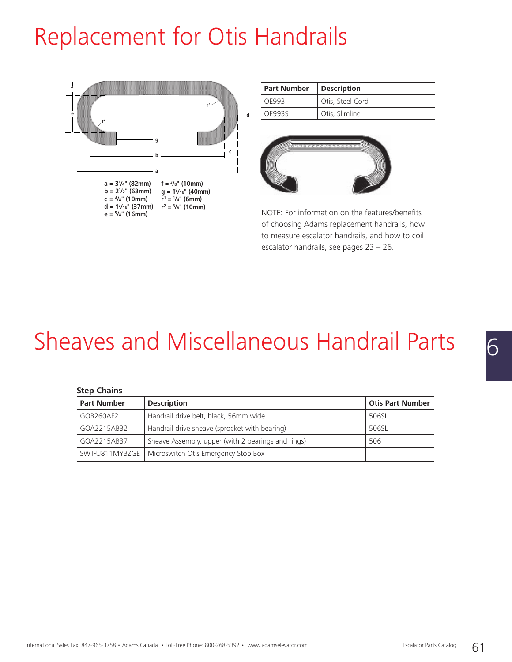## Replacement for Otis Handrails



| <b>Part Number</b> | <b>Description</b> |
|--------------------|--------------------|
| OF993              | Otis, Steel Cord   |
| OF9935             | Otis, Slimline     |



NOTE: For information on the features/benefits of choosing Adams replacement handrails, how to measure escalator handrails, and how to coil escalator handrails, see pages 23 – 26.

### Sheaves and Miscellaneous Handrail Parts

#### **Step Chains**

| <b>Part Number</b> | <b>Description</b>                                   | <b>Otis Part Number</b> |
|--------------------|------------------------------------------------------|-------------------------|
| GOB260AF2          | Handrail drive belt, black, 56mm wide                | 506SL                   |
| GOA2215AB32        | Handrail drive sheave (sprocket with bearing)        | 506SL                   |
| GOA2215AB37        | Sheave Assembly, upper (with 2 bearings and rings)   | 506                     |
|                    | SWT-U811MY3ZGE   Microswitch Otis Emergency Stop Box |                         |